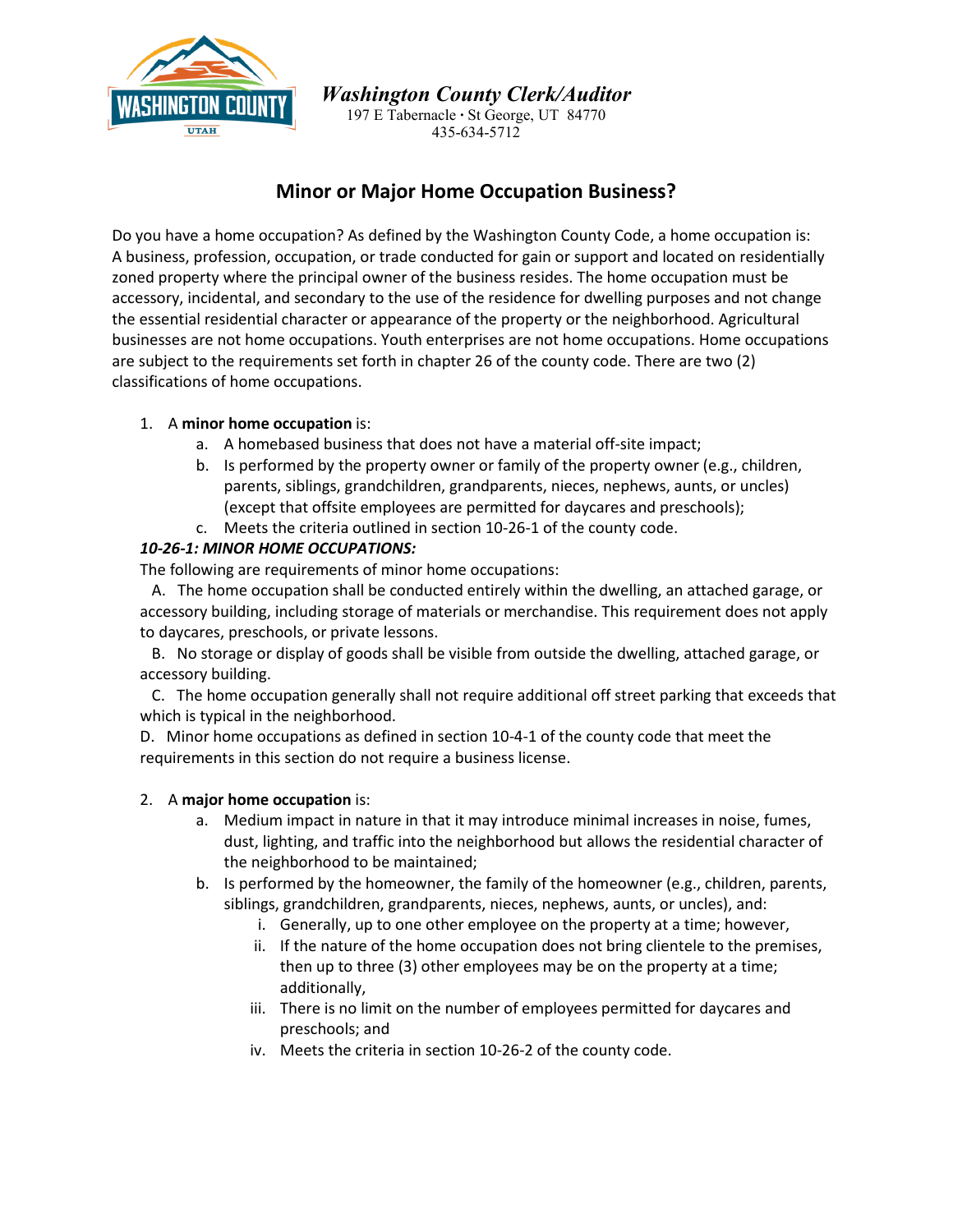

*Washington County Clerk/Auditor*

197 E Tabernacle **∙** St George, UT 84770 435-634-5712

# **Minor or Major Home Occupation Business?**

Do you have a home occupation? As defined by the Washington County Code, a home occupation is: A business, profession, occupation, or trade conducted for gain or support and located on residentially zoned property where the principal owner of the business resides. The home occupation must be accessory, incidental, and secondary to the use of the residence for dwelling purposes and not change the essential residential character or appearance of the property or the neighborhood. Agricultural businesses are not home occupations. Youth enterprises are not home occupations. Home occupations are subject to the requirements set forth in chapter 26 of the county code. There are two (2) classifications of home occupations.

## 1. A **minor home occupation** is:

- a. A homebased business that does not have a material off-site impact;
- b. Is performed by the property owner or family of the property owner (e.g., children, parents, siblings, grandchildren, grandparents, nieces, nephews, aunts, or uncles) (except that offsite employees are permitted for daycares and preschools);
- c. Meets the criteria outlined in section 10-26-1 of the county code.

## *10-26-1: MINOR HOME OCCUPATIONS:*

The following are requirements of minor home occupations:

 A. The home occupation shall be conducted entirely within the dwelling, an attached garage, or accessory building, including storage of materials or merchandise. This requirement does not apply to daycares, preschools, or private lessons.

 B. No storage or display of goods shall be visible from outside the dwelling, attached garage, or accessory building.

 C. The home occupation generally shall not require additional off street parking that exceeds that which is typical in the neighborhood.

D. Minor home occupations as defined in section [10-4-1](https://codelibrary.amlegal.com/codes/washingtoncout/latest/washingtonco_ut/0-0-0-3697#JD_10-4-1) of the county code that meet the requirements in this section do not require a business license.

#### 2. A **major home occupation** is:

- a. Medium impact in nature in that it may introduce minimal increases in noise, fumes, dust, lighting, and traffic into the neighborhood but allows the residential character of the neighborhood to be maintained;
- b. Is performed by the homeowner, the family of the homeowner (e.g., children, parents, siblings, grandchildren, grandparents, nieces, nephews, aunts, or uncles), and:
	- i. Generally, up to one other employee on the property at a time; however,
	- ii. If the nature of the home occupation does not bring clientele to the premises, then up to three (3) other employees may be on the property at a time; additionally,
	- iii. There is no limit on the number of employees permitted for daycares and preschools; and
	- iv. Meets the criteria in section 10-26-2 of the county code.